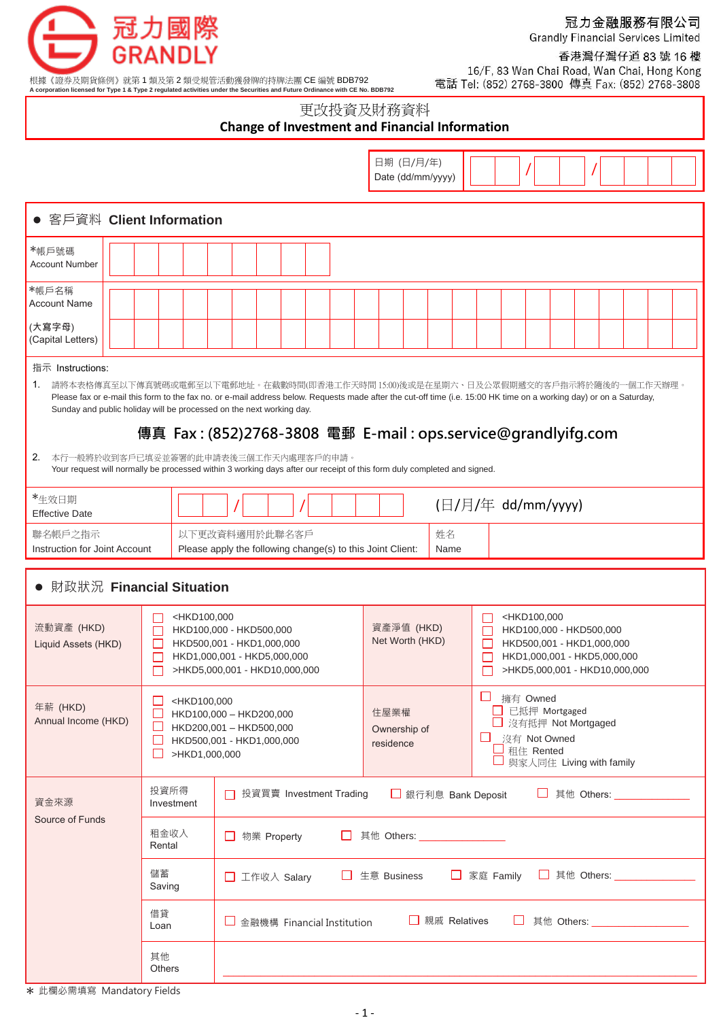

冠力金融服務有限公司

**Grandly Financial Services Limited** 

香港灣仔灣仔道 83號 16樓

根據《證券及期貨條例》就第 1 類及第 2 類受規管活動獲發牌的持牌法團 CE 編號 BDB792 **A corporation licensed for Type 1 & Type 2 regulated activities under the Securities and Future Ordinance with CE No. BDB792**

16/F, 83 Wan Chai Road, Wan Chai, Hong Kong<br>電話 Tel: (852) 2768-3800 傳真 Fax: (852) 2768-3808

更改投資及財務資料

| <b>Change of Investment and Financial Information</b> |  |  |
|-------------------------------------------------------|--|--|
|-------------------------------------------------------|--|--|

|                                                                                                                                                                                                                                                                                                                                                                                                                                                                                                                                                                                                    |                                                                                                                                                                                   |                                                                                              |                                   |  | 日期 (日/月/年)<br>Date (dd/mm/yyyy) |  |                                                                                                                  |  |                                                                                                                                                                                                   |  |  |  |  |  |  |  |  |
|----------------------------------------------------------------------------------------------------------------------------------------------------------------------------------------------------------------------------------------------------------------------------------------------------------------------------------------------------------------------------------------------------------------------------------------------------------------------------------------------------------------------------------------------------------------------------------------------------|-----------------------------------------------------------------------------------------------------------------------------------------------------------------------------------|----------------------------------------------------------------------------------------------|-----------------------------------|--|---------------------------------|--|------------------------------------------------------------------------------------------------------------------|--|---------------------------------------------------------------------------------------------------------------------------------------------------------------------------------------------------|--|--|--|--|--|--|--|--|
| ● 客戶資料 Client Information                                                                                                                                                                                                                                                                                                                                                                                                                                                                                                                                                                          |                                                                                                                                                                                   |                                                                                              |                                   |  |                                 |  |                                                                                                                  |  |                                                                                                                                                                                                   |  |  |  |  |  |  |  |  |
| *帳戶號碼<br><b>Account Number</b>                                                                                                                                                                                                                                                                                                                                                                                                                                                                                                                                                                     |                                                                                                                                                                                   |                                                                                              |                                   |  |                                 |  |                                                                                                                  |  |                                                                                                                                                                                                   |  |  |  |  |  |  |  |  |
| *帳戶名稱<br><b>Account Name</b>                                                                                                                                                                                                                                                                                                                                                                                                                                                                                                                                                                       |                                                                                                                                                                                   |                                                                                              |                                   |  |                                 |  |                                                                                                                  |  |                                                                                                                                                                                                   |  |  |  |  |  |  |  |  |
| (大寫字母)<br>(Capital Letters)                                                                                                                                                                                                                                                                                                                                                                                                                                                                                                                                                                        |                                                                                                                                                                                   |                                                                                              |                                   |  |                                 |  |                                                                                                                  |  |                                                                                                                                                                                                   |  |  |  |  |  |  |  |  |
| 指示 Instructions:<br>請將本表格傳真至以下傳真號碼或電郵至以下電郵地址。在截數時間(即香港工作天時間 15:00)後或是在星期六、日及公眾假期遞交的客戶指示將於隨後的一個工作天辦理。<br>1.<br>Please fax or e-mail this form to the fax no. or e-mail address below. Requests made after the cut-off time (i.e. 15:00 HK time on a working day) or on a Saturday,<br>Sunday and public holiday will be processed on the next working day.<br>傳真 Fax: (852)2768-3808 電郵 E-mail: ops.service@grandlyifg.com<br>2.<br>本行一般將於收到客戶已填妥並簽署的此申請表後三個工作天內處理客戶的申請。<br>Your request will normally be processed within 3 working days after our receipt of this form duly completed and signed. |                                                                                                                                                                                   |                                                                                              |                                   |  |                                 |  |                                                                                                                  |  |                                                                                                                                                                                                   |  |  |  |  |  |  |  |  |
| *生效日期<br><b>Effective Date</b>                                                                                                                                                                                                                                                                                                                                                                                                                                                                                                                                                                     | (日/月/年 dd/mm/yyyy)                                                                                                                                                                |                                                                                              |                                   |  |                                 |  |                                                                                                                  |  |                                                                                                                                                                                                   |  |  |  |  |  |  |  |  |
| 姓名<br>聯名帳戶之指示<br>以下更改資料適用於此聯名客戶<br>Instruction for Joint Account<br>Please apply the following change(s) to this Joint Client:<br>Name                                                                                                                                                                                                                                                                                                                                                                                                                                                             |                                                                                                                                                                                   |                                                                                              |                                   |  |                                 |  |                                                                                                                  |  |                                                                                                                                                                                                   |  |  |  |  |  |  |  |  |
| 財政狀況 Financial Situation<br>$\bullet$                                                                                                                                                                                                                                                                                                                                                                                                                                                                                                                                                              |                                                                                                                                                                                   |                                                                                              |                                   |  |                                 |  |                                                                                                                  |  |                                                                                                                                                                                                   |  |  |  |  |  |  |  |  |
| 流動資產 (HKD)<br>Liquid Assets (HKD)                                                                                                                                                                                                                                                                                                                                                                                                                                                                                                                                                                  | <hkd100,000<br>Н<br/>HKD100,000 - HKD500,000<br/>П<br/>HKD500,001 - HKD1,000,000<br/>П<br/>HKD1,000,001 - HKD5,000,000<br/>П<br/>&gt;HKD5,000,001 - HKD10,000,000</hkd100,000<br> |                                                                                              |                                   |  | 資產淨值 (HKD)<br>Net Worth (HKD)   |  |                                                                                                                  |  | <hkd100,000<br><math>\mathsf{L}</math><br/>HKD100,000 - HKD500,000<br/>HKD500,001 - HKD1,000,000<br/>П<br/>HKD1,000,001 - HKD5,000,000<br/>П<br/>&gt;HKD5,000,001 - HKD10,000,000</hkd100,000<br> |  |  |  |  |  |  |  |  |
| 年薪 (HKD)<br>Annual Income (HKD)                                                                                                                                                                                                                                                                                                                                                                                                                                                                                                                                                                    | <hkd100,000<br>ப<br/><math>\Box</math><br/><math>\Box</math><br/><math>\Box</math><br/>⊔<br/>&gt;HKD1,000,000</hkd100,000<br>                                                     | HKD100,000 - HKD200,000<br>HKD200,001 - HKD500,000<br>HKD500,001 - HKD1,000,000              | 住屋業權<br>Ownership of<br>residence |  |                                 |  | □ 擁有 Owned<br>□ 已抵押 Mortgaged<br>□ 沒有抵押 Not Mortgaged<br>□ 沒有 Not Owned<br>租住 Rented<br>與家人同住 Living with family |  |                                                                                                                                                                                                   |  |  |  |  |  |  |  |  |
| 資金來源                                                                                                                                                                                                                                                                                                                                                                                                                                                                                                                                                                                               | 投資所得<br>Investment                                                                                                                                                                | □ 投資買賣 Investment Trading<br>□ 銀行利息 Bank Deposit<br>□ 其他 Others: _____________               |                                   |  |                                 |  |                                                                                                                  |  |                                                                                                                                                                                                   |  |  |  |  |  |  |  |  |
| Source of Funds                                                                                                                                                                                                                                                                                                                                                                                                                                                                                                                                                                                    | 租金收入<br>Rental                                                                                                                                                                    | □ 物業 Property<br>其他 Others: _________________                                                |                                   |  |                                 |  |                                                                                                                  |  |                                                                                                                                                                                                   |  |  |  |  |  |  |  |  |
|                                                                                                                                                                                                                                                                                                                                                                                                                                                                                                                                                                                                    | 儲蓄<br>Saving                                                                                                                                                                      | □ 其他 Others: ______________<br>$\Box$<br>生意 Business<br>$\Box$<br>家庭 Family<br>□ 工作收入 Salary |                                   |  |                                 |  |                                                                                                                  |  |                                                                                                                                                                                                   |  |  |  |  |  |  |  |  |
|                                                                                                                                                                                                                                                                                                                                                                                                                                                                                                                                                                                                    | 借貸<br>Loan                                                                                                                                                                        | $\Box$ 親戚 Relatives<br>□ 其他 Others: __________________<br>□ 金融機構 Financial Institution       |                                   |  |                                 |  |                                                                                                                  |  |                                                                                                                                                                                                   |  |  |  |  |  |  |  |  |
|                                                                                                                                                                                                                                                                                                                                                                                                                                                                                                                                                                                                    | 其他<br><b>Others</b>                                                                                                                                                               |                                                                                              |                                   |  |                                 |  |                                                                                                                  |  |                                                                                                                                                                                                   |  |  |  |  |  |  |  |  |

✱ 此欄必需填寫 Mandatory Fields